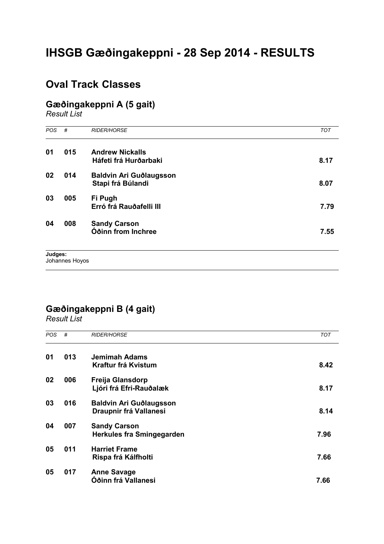# **IHSGB Gæðingakeppni - 28 Sep 2014 - RESULTS**

### **Oval Track Classes**

## **Gæðingakeppni A (5 gait)**

*Result List*

| #   | <b>RIDER/HORSE</b>                              | <b>TOT</b> |
|-----|-------------------------------------------------|------------|
| 015 | <b>Andrew Nickalls</b><br>Háfeti frá Hurðarbaki | 8.17       |
| 014 | Baldvin Ari Guðlaugsson<br>Stapi frá Búlandi    | 8.07       |
| 005 | Fi Pugh<br>Erró frá Rauðafelli III              | 7.79       |
| 008 | <b>Sandy Carson</b><br>Óðinn from Inchree       | 7.55       |
|     |                                                 |            |

## **Gæðingakeppni B (4 gait)**

*Result List*

 $\overline{a}$ 

| <b>POS</b> | #   | <b>RIDER/HORSE</b>                                       | <b>TOT</b> |
|------------|-----|----------------------------------------------------------|------------|
| 01         | 013 | Jemimah Adams<br>Kraftur frá Kvistum                     | 8.42       |
| 02         | 006 | <b>Freija Glansdorp</b><br>Ljóri frá Efri-Rauðalæk       | 8.17       |
| 03         | 016 | <b>Baldvin Ari Guðlaugsson</b><br>Draupnir frá Vallanesi | 8.14       |
| 04         | 007 | <b>Sandy Carson</b><br>Herkules fra Smingegarden         | 7.96       |
| 05         | 011 | <b>Harriet Frame</b><br>Rispa frá Kálfholti              | 7.66       |
| 05         | 017 | <b>Anne Savage</b><br>Óðinn frá Vallanesi                | 7.66       |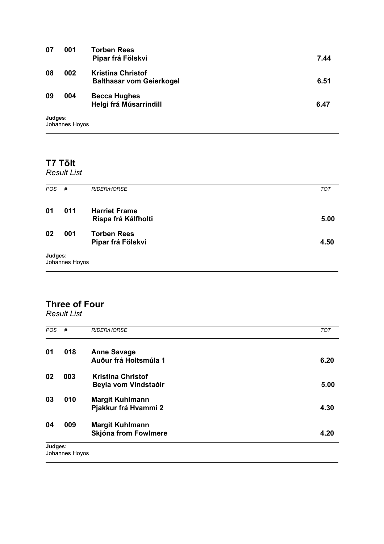| 07                                      | 001 | <b>Torben Rees</b><br>Pipar frá Fölskvi                     | 7.44 |
|-----------------------------------------|-----|-------------------------------------------------------------|------|
| 08                                      | 002 | <b>Kristina Christof</b><br><b>Balthasar vom Geierkogel</b> | 6.51 |
| 09                                      | 004 | <b>Becca Hughes</b><br>Helgi frá Músarrindill               | 6.47 |
| the subsequent of the local division of |     |                                                             |      |

**Judges:**

Johannes Hoyos  $\overline{a}$ 

### **T7 Tölt**

*Result List*

| Judges:    | Johannes Hoyos |                                             |            |
|------------|----------------|---------------------------------------------|------------|
| 02         | 001            | <b>Torben Rees</b><br>Pipar frá Fölskvi     | 4.50       |
| 01         | 011            | <b>Harriet Frame</b><br>Rispa frá Kálfholti | 5.00       |
| <b>POS</b> | #              | <b>RIDER/HORSE</b>                          | <b>TOT</b> |

### **Three of Four**

*Result List*

| <b>POS</b> | #              | <b>RIDER/HORSE</b>       | <b>TOT</b> |
|------------|----------------|--------------------------|------------|
| 01         | 018            | <b>Anne Savage</b>       |            |
|            |                | Auður frá Holtsmúla 1    | 6.20       |
| 02         | 003            | <b>Kristina Christof</b> |            |
|            |                | Beyla vom Vindstaðir     | 5.00       |
| 03         | 010            | <b>Margit Kuhlmann</b>   |            |
|            |                | Pjakkur frá Hvammi 2     | 4.30       |
| 04         | 009            | <b>Margit Kuhlmann</b>   |            |
|            |                | Skjóna from Fowlmere     | 4.20       |
| Judges:    | Johannes Hoyos |                          |            |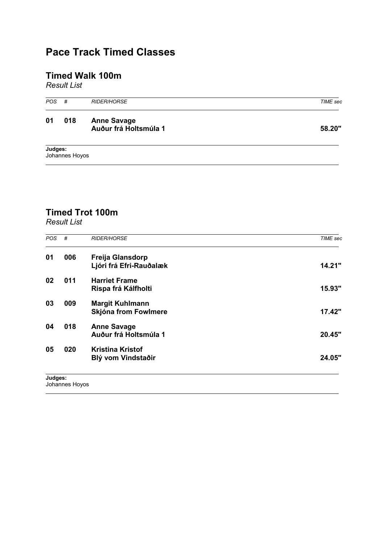## **Pace Track Timed Classes**

### **Timed Walk 100m**

*Result List*

| <b>POS</b> | #              | <b>RIDER/HORSE</b>                          | TIME sec |
|------------|----------------|---------------------------------------------|----------|
| 01         | 018            | <b>Anne Savage</b><br>Auður frá Holtsmúla 1 | 58.20"   |
| Judges:    | Johannes Hoyos |                                             |          |

## **Timed Trot 100m**

*Result List*

 $\overline{a}$ 

| <b>POS</b> | #   | <b>RIDER/HORSE</b>                                 | TIME sec |
|------------|-----|----------------------------------------------------|----------|
| 01         | 006 | <b>Freija Glansdorp</b><br>Ljóri frá Efri-Rauðalæk | 14.21"   |
| 02         | 011 | <b>Harriet Frame</b><br>Rispa frá Kálfholti        | 15.93"   |
| 03         | 009 | <b>Margit Kuhlmann</b><br>Skjóna from Fowlmere     | 17.42"   |
| 04         | 018 | <b>Anne Savage</b><br>Auður frá Holtsmúla 1        | 20.45"   |
| 05         | 020 | <b>Kristina Kristof</b><br>Blý vom Vindstaðir      | 24.05"   |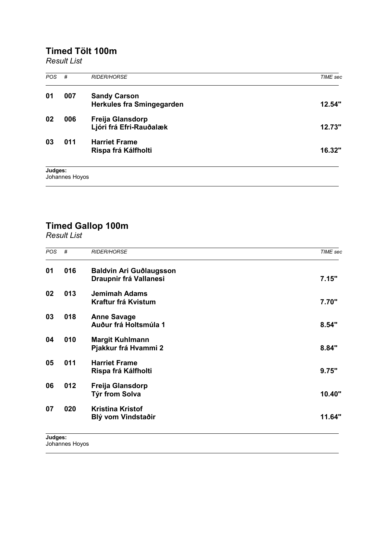### **Timed Tölt 100m**

*Result List*

| <b>POS</b> | #              | <b>RIDER/HORSE</b>                                      | <b>TIME</b> sec |
|------------|----------------|---------------------------------------------------------|-----------------|
| 01         | 007            | <b>Sandy Carson</b><br><b>Herkules fra Smingegarden</b> | 12.54"          |
| 02         | 006            | Freija Glansdorp<br>Ljóri frá Efri-Rauðalæk             | 12.73"          |
| 03         | 011            | <b>Harriet Frame</b><br>Rispa frá Kálfholti             | 16.32"          |
| Judges:    | Johannes Hoyos |                                                         |                 |

#### **Timed Gallop 100m**

*Result List*

 $\overline{a}$ 

|     |                                                   | <b>TIME</b> sec |
|-----|---------------------------------------------------|-----------------|
| 016 | Baldvin Ari Guðlaugsson<br>Draupnir frá Vallanesi | 7.15"           |
| 013 | <b>Jemimah Adams</b><br>Kraftur frá Kvistum       | 7.70"           |
| 018 | <b>Anne Savage</b><br>Auður frá Holtsmúla 1       | 8.54"           |
| 010 | <b>Margit Kuhlmann</b><br>Pjakkur frá Hvammi 2    | 8.84"           |
| 011 | <b>Harriet Frame</b><br>Rispa frá Kálfholti       | 9.75"           |
| 012 | Freija Glansdorp<br>Týr from Solva                | 10.40"          |
| 020 | <b>Kristina Kristof</b><br>Blý vom Vindstaðir     | 11.64"          |
|     |                                                   |                 |